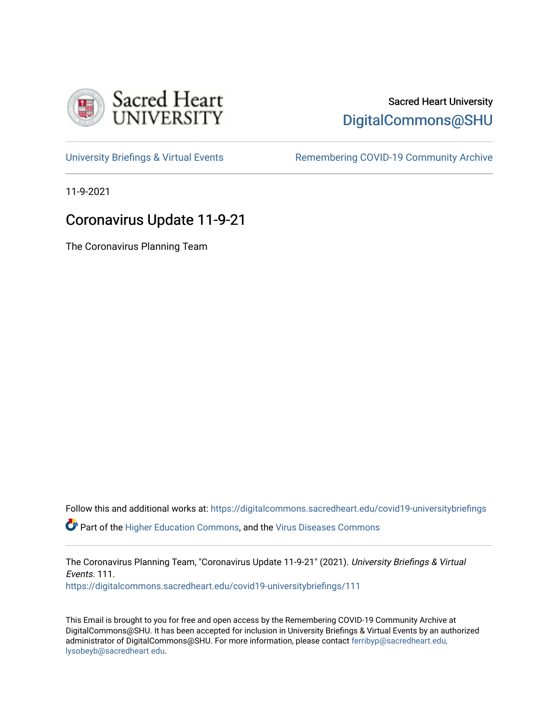

## Sacred Heart University [DigitalCommons@SHU](https://digitalcommons.sacredheart.edu/)

[University Briefings & Virtual Events](https://digitalcommons.sacredheart.edu/covid19-universitybriefings) **Remembering COVID-19 Community Archive** 

11-9-2021

# Coronavirus Update 11-9-21

The Coronavirus Planning Team

Follow this and additional works at: [https://digitalcommons.sacredheart.edu/covid19-universitybriefings](https://digitalcommons.sacredheart.edu/covid19-universitybriefings?utm_source=digitalcommons.sacredheart.edu%2Fcovid19-universitybriefings%2F111&utm_medium=PDF&utm_campaign=PDFCoverPages)

**C** Part of the [Higher Education Commons,](http://network.bepress.com/hgg/discipline/1245?utm_source=digitalcommons.sacredheart.edu%2Fcovid19-universitybriefings%2F111&utm_medium=PDF&utm_campaign=PDFCoverPages) and the [Virus Diseases Commons](http://network.bepress.com/hgg/discipline/998?utm_source=digitalcommons.sacredheart.edu%2Fcovid19-universitybriefings%2F111&utm_medium=PDF&utm_campaign=PDFCoverPages)

The Coronavirus Planning Team, "Coronavirus Update 11-9-21" (2021). University Briefings & Virtual Events. 111. [https://digitalcommons.sacredheart.edu/covid19-universitybriefings/111](https://digitalcommons.sacredheart.edu/covid19-universitybriefings/111?utm_source=digitalcommons.sacredheart.edu%2Fcovid19-universitybriefings%2F111&utm_medium=PDF&utm_campaign=PDFCoverPages)

This Email is brought to you for free and open access by the Remembering COVID-19 Community Archive at DigitalCommons@SHU. It has been accepted for inclusion in University Briefings & Virtual Events by an authorized administrator of DigitalCommons@SHU. For more information, please contact [ferribyp@sacredheart.edu,](mailto:ferribyp@sacredheart.edu,%20lysobeyb@sacredheart.edu) [lysobeyb@sacredheart.edu](mailto:ferribyp@sacredheart.edu,%20lysobeyb@sacredheart.edu).